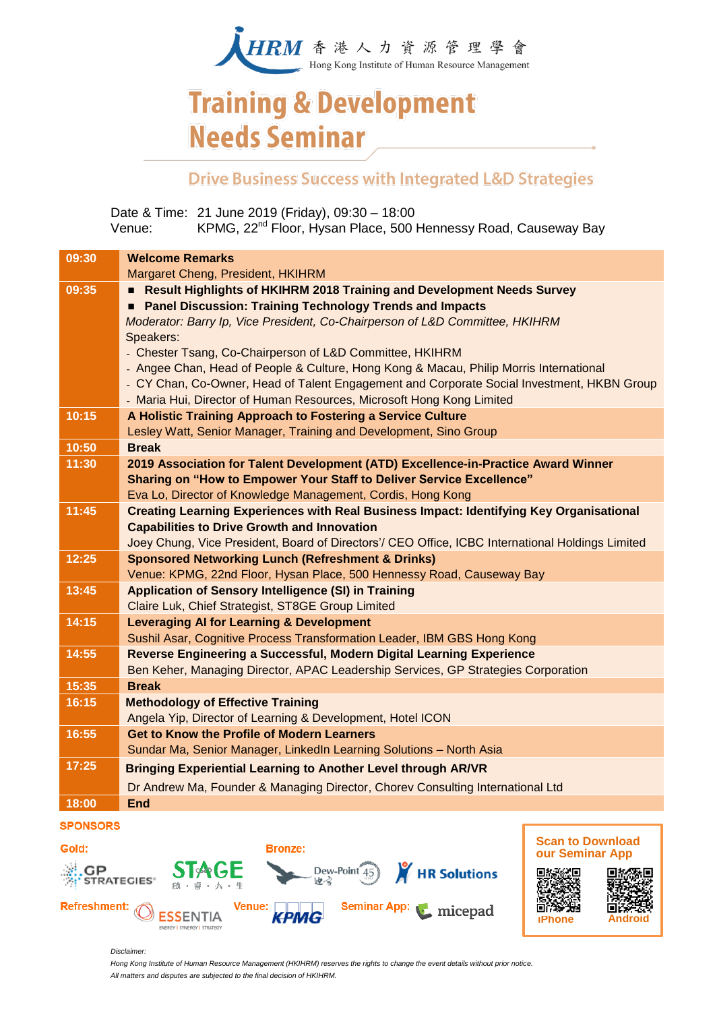

## **Training & Development Needs Seminar**

### **Drive Business Success with Integrated L&D Strategies**

Date & Time: 21 June 2019 (Friday), 09:30 – 18:00 Venue: KPMG, 22<sup>nd</sup> Floor, Hysan Place, 500 Hennessy Road, Causeway Bay

| 09:30 | <b>Welcome Remarks</b>                                                                                                                          |  |  |
|-------|-------------------------------------------------------------------------------------------------------------------------------------------------|--|--|
|       | Margaret Cheng, President, HKIHRM                                                                                                               |  |  |
| 09:35 | Result Highlights of HKIHRM 2018 Training and Development Needs Survey                                                                          |  |  |
|       | Panel Discussion: Training Technology Trends and Impacts<br>Moderator: Barry Ip, Vice President, Co-Chairperson of L&D Committee, HKIHRM        |  |  |
|       |                                                                                                                                                 |  |  |
|       | Speakers:                                                                                                                                       |  |  |
|       | - Chester Tsang, Co-Chairperson of L&D Committee, HKIHRM                                                                                        |  |  |
|       | - Angee Chan, Head of People & Culture, Hong Kong & Macau, Philip Morris International                                                          |  |  |
|       | - CY Chan, Co-Owner, Head of Talent Engagement and Corporate Social Investment, HKBN Group                                                      |  |  |
|       | - Maria Hui, Director of Human Resources, Microsoft Hong Kong Limited                                                                           |  |  |
| 10:15 | A Holistic Training Approach to Fostering a Service Culture                                                                                     |  |  |
|       | Lesley Watt, Senior Manager, Training and Development, Sino Group                                                                               |  |  |
| 10:50 | <b>Break</b>                                                                                                                                    |  |  |
| 11:30 | 2019 Association for Talent Development (ATD) Excellence-in-Practice Award Winner                                                               |  |  |
|       | Sharing on "How to Empower Your Staff to Deliver Service Excellence"                                                                            |  |  |
|       | Eva Lo, Director of Knowledge Management, Cordis, Hong Kong                                                                                     |  |  |
| 11:45 | <b>Creating Learning Experiences with Real Business Impact: Identifying Key Organisational</b>                                                  |  |  |
|       | <b>Capabilities to Drive Growth and Innovation</b>                                                                                              |  |  |
|       | Joey Chung, Vice President, Board of Directors'/ CEO Office, ICBC International Holdings Limited                                                |  |  |
| 12:25 | <b>Sponsored Networking Lunch (Refreshment &amp; Drinks)</b>                                                                                    |  |  |
|       | Venue: KPMG, 22nd Floor, Hysan Place, 500 Hennessy Road, Causeway Bay                                                                           |  |  |
| 13:45 | <b>Application of Sensory Intelligence (SI) in Training</b>                                                                                     |  |  |
|       | Claire Luk, Chief Strategist, ST8GE Group Limited                                                                                               |  |  |
| 14:15 | <b>Leveraging AI for Learning &amp; Development</b>                                                                                             |  |  |
|       | Sushil Asar, Cognitive Process Transformation Leader, IBM GBS Hong Kong<br>Reverse Engineering a Successful, Modern Digital Learning Experience |  |  |
| 14:55 | Ben Keher, Managing Director, APAC Leadership Services, GP Strategies Corporation                                                               |  |  |
| 15:35 | <b>Break</b>                                                                                                                                    |  |  |
| 16:15 | <b>Methodology of Effective Training</b>                                                                                                        |  |  |
|       | Angela Yip, Director of Learning & Development, Hotel ICON                                                                                      |  |  |
| 16:55 | <b>Get to Know the Profile of Modern Learners</b>                                                                                               |  |  |
|       | Sundar Ma, Senior Manager, LinkedIn Learning Solutions - North Asia                                                                             |  |  |
| 17:25 | <b>Bringing Experiential Learning to Another Level through AR/VR</b>                                                                            |  |  |
|       | Dr Andrew Ma, Founder & Managing Director, Chorey Consulting International Ltd                                                                  |  |  |
| 18:00 | <b>End</b>                                                                                                                                      |  |  |
|       |                                                                                                                                                 |  |  |

#### **SPONSORS**





*Disclaimer:* 

*Hong Kong Institute of Human Resource Management (HKIHRM) reserves the rights to change the event details without prior notice. All matters and disputes are subjected to the final decision of HKIHRM.*